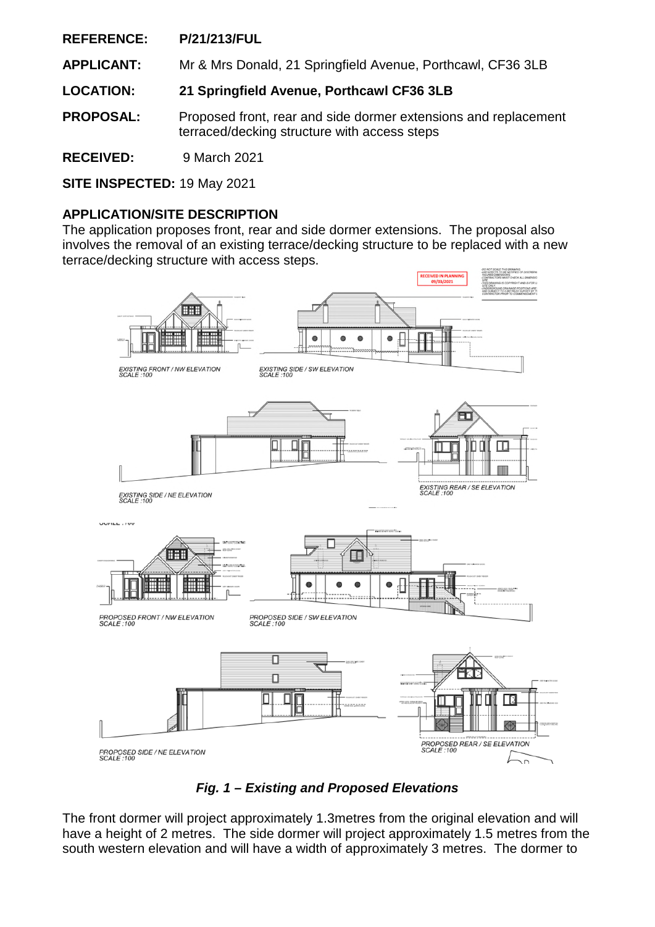**REFERENCE: P/21/213/FUL**

**APPLICANT:** Mr & Mrs Donald, 21 Springfield Avenue, Porthcawl, CF36 3LB

**LOCATION: 21 Springfield Avenue, Porthcawl CF36 3LB** 

**PROPOSAL:** Proposed front, rear and side dormer extensions and replacement terraced/decking structure with access steps

**RECEIVED:** 9 March 2021

**SITE INSPECTED:** 19 May 2021

## **APPLICATION/SITE DESCRIPTION**

The application proposes front, rear and side dormer extensions. The proposal also involves the removal of an existing terrace/decking structure to be replaced with a new terrace/decking structure with access steps.





The front dormer will project approximately 1.3metres from the original elevation and will have a height of 2 metres. The side dormer will project approximately 1.5 metres from the south western elevation and will have a width of approximately 3 metres. The dormer to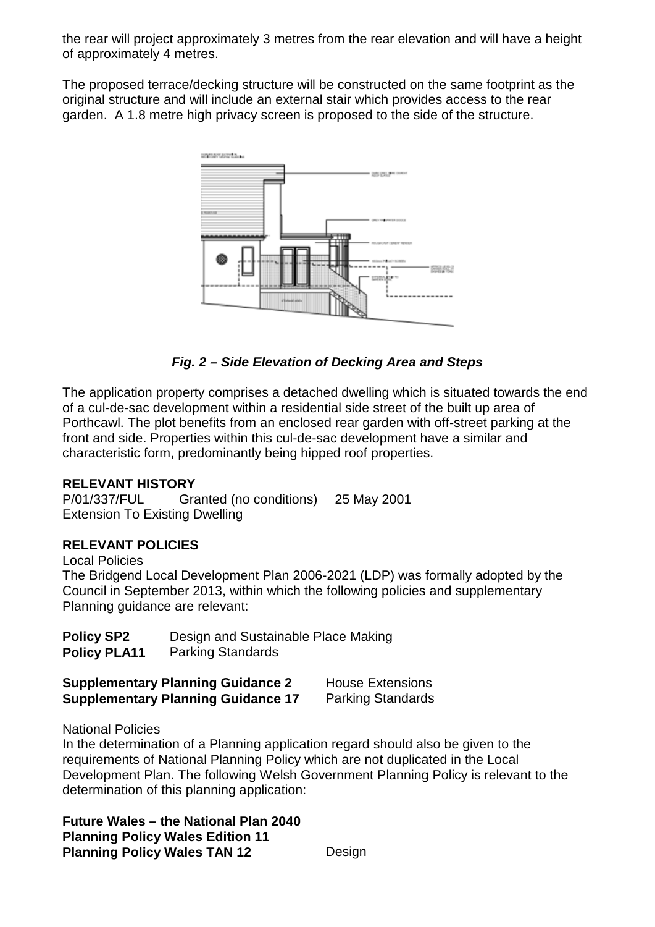the rear will project approximately 3 metres from the rear elevation and will have a height of approximately 4 metres.

The proposed terrace/decking structure will be constructed on the same footprint as the original structure and will include an external stair which provides access to the rear garden. A 1.8 metre high privacy screen is proposed to the side of the structure.



# *Fig. 2 – Side Elevation of Decking Area and Steps*

The application property comprises a detached dwelling which is situated towards the end of a cul-de-sac development within a residential side street of the built up area of Porthcawl. The plot benefits from an enclosed rear garden with off-street parking at the front and side. Properties within this cul-de-sac development have a similar and characteristic form, predominantly being hipped roof properties.

### **RELEVANT HISTORY**

P/01/337/FUL Granted (no conditions) 25 May 2001 Extension To Existing Dwelling

## **RELEVANT POLICIES**

Local Policies The Bridgend Local Development Plan 2006-2021 (LDP) was formally adopted by the Council in September 2013, within which the following policies and supplementary Planning guidance are relevant:

| <b>Policy SP2</b>   | Design and Sustainable Place Making |
|---------------------|-------------------------------------|
| <b>Policy PLA11</b> | <b>Parking Standards</b>            |

| <b>Supplementary Planning Guidance 2</b>  | <b>House Extensions</b>  |
|-------------------------------------------|--------------------------|
| <b>Supplementary Planning Guidance 17</b> | <b>Parking Standards</b> |

National Policies

In the determination of a Planning application regard should also be given to the requirements of National Planning Policy which are not duplicated in the Local Development Plan. The following Welsh Government Planning Policy is relevant to the determination of this planning application:

**Future Wales – the National Plan 2040 Planning Policy Wales Edition 11 Planning Policy Wales TAN 12** Design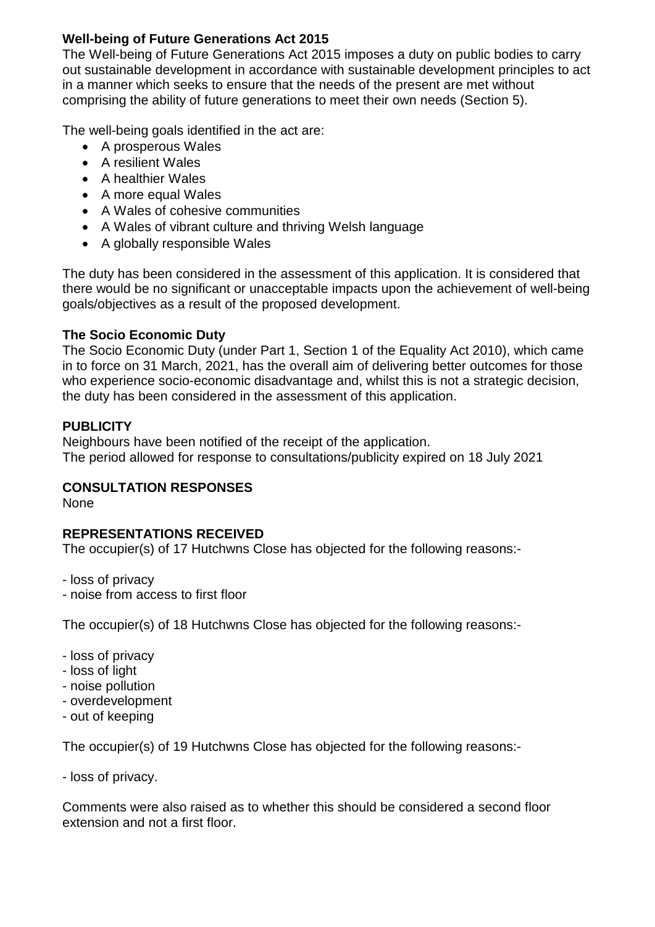## **Well-being of Future Generations Act 2015**

The Well-being of Future Generations Act 2015 imposes a duty on public bodies to carry out sustainable development in accordance with sustainable development principles to act in a manner which seeks to ensure that the needs of the present are met without comprising the ability of future generations to meet their own needs (Section 5).

The well-being goals identified in the act are:

- A prosperous Wales
- A resilient Wales
- A healthier Wales
- A more equal Wales
- A Wales of cohesive communities
- A Wales of vibrant culture and thriving Welsh language
- A globally responsible Wales

The duty has been considered in the assessment of this application. It is considered that there would be no significant or unacceptable impacts upon the achievement of well-being goals/objectives as a result of the proposed development.

## **The Socio Economic Duty**

The Socio Economic Duty (under Part 1, Section 1 of the Equality Act 2010), which came in to force on 31 March, 2021, has the overall aim of delivering better outcomes for those who experience socio-economic disadvantage and, whilst this is not a strategic decision, the duty has been considered in the assessment of this application.

## **PUBLICITY**

Neighbours have been notified of the receipt of the application. The period allowed for response to consultations/publicity expired on 18 July 2021

## **CONSULTATION RESPONSES**

None

# **REPRESENTATIONS RECEIVED**

The occupier(s) of 17 Hutchwns Close has objected for the following reasons:-

- loss of privacy

- noise from access to first floor

The occupier(s) of 18 Hutchwns Close has objected for the following reasons:-

- loss of privacy
- loss of light
- noise pollution
- overdevelopment
- out of keeping

The occupier(s) of 19 Hutchwns Close has objected for the following reasons:-

- loss of privacy.

Comments were also raised as to whether this should be considered a second floor extension and not a first floor.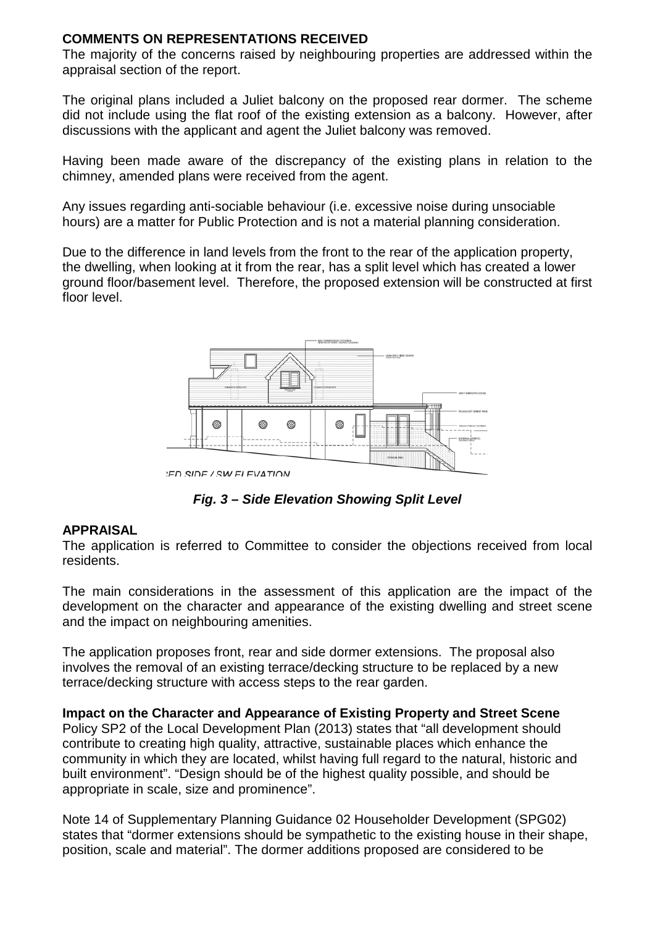### **COMMENTS ON REPRESENTATIONS RECEIVED**

The majority of the concerns raised by neighbouring properties are addressed within the appraisal section of the report.

The original plans included a Juliet balcony on the proposed rear dormer. The scheme did not include using the flat roof of the existing extension as a balcony. However, after discussions with the applicant and agent the Juliet balcony was removed.

Having been made aware of the discrepancy of the existing plans in relation to the chimney, amended plans were received from the agent.

Any issues regarding anti-sociable behaviour (i.e. excessive noise during unsociable hours) are a matter for Public Protection and is not a material planning consideration.

Due to the difference in land levels from the front to the rear of the application property, the dwelling, when looking at it from the rear, has a split level which has created a lower ground floor/basement level. Therefore, the proposed extension will be constructed at first floor level.



**ED SIDE / SW ELEVATION** 

*Fig. 3 – Side Elevation Showing Split Level* 

### **APPRAISAL**

The application is referred to Committee to consider the objections received from local residents.

The main considerations in the assessment of this application are the impact of the development on the character and appearance of the existing dwelling and street scene and the impact on neighbouring amenities.

The application proposes front, rear and side dormer extensions. The proposal also involves the removal of an existing terrace/decking structure to be replaced by a new terrace/decking structure with access steps to the rear garden.

**Impact on the Character and Appearance of Existing Property and Street Scene**  Policy SP2 of the Local Development Plan (2013) states that "all development should contribute to creating high quality, attractive, sustainable places which enhance the community in which they are located, whilst having full regard to the natural, historic and built environment". "Design should be of the highest quality possible, and should be appropriate in scale, size and prominence".

Note 14 of Supplementary Planning Guidance 02 Householder Development (SPG02) states that "dormer extensions should be sympathetic to the existing house in their shape, position, scale and material". The dormer additions proposed are considered to be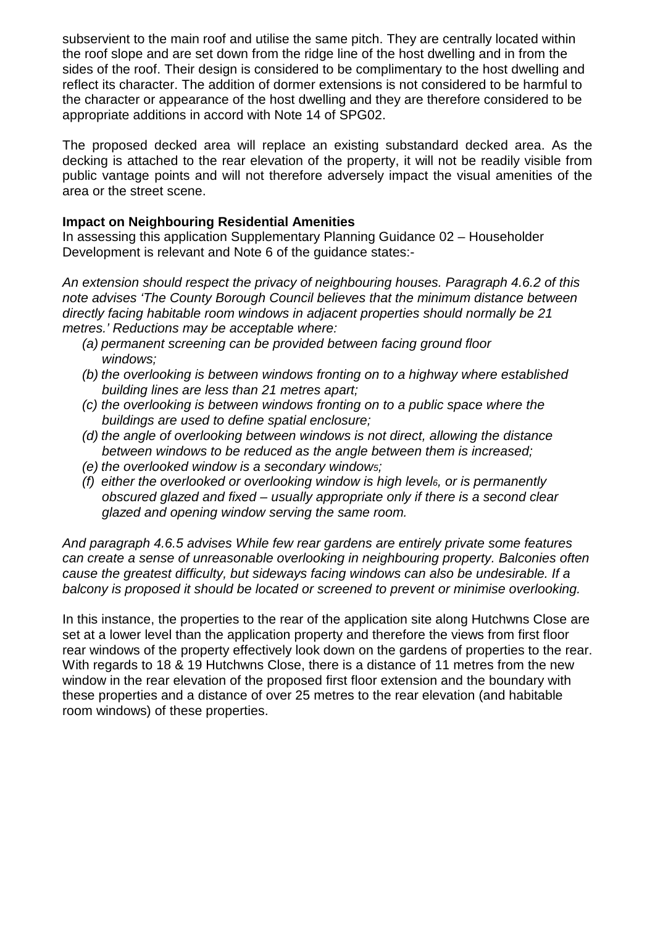subservient to the main roof and utilise the same pitch. They are centrally located within the roof slope and are set down from the ridge line of the host dwelling and in from the sides of the roof. Their design is considered to be complimentary to the host dwelling and reflect its character. The addition of dormer extensions is not considered to be harmful to the character or appearance of the host dwelling and they are therefore considered to be appropriate additions in accord with Note 14 of SPG02.

The proposed decked area will replace an existing substandard decked area. As the decking is attached to the rear elevation of the property, it will not be readily visible from public vantage points and will not therefore adversely impact the visual amenities of the area or the street scene.

### **Impact on Neighbouring Residential Amenities**

In assessing this application Supplementary Planning Guidance 02 – Householder Development is relevant and Note 6 of the guidance states:-

*An extension should respect the privacy of neighbouring houses. Paragraph 4.6.2 of this note advises 'The County Borough Council believes that the minimum distance between directly facing habitable room windows in adjacent properties should normally be 21 metres.' Reductions may be acceptable where:* 

- *(a) permanent screening can be provided between facing ground floor windows;*
- *(b) the overlooking is between windows fronting on to a highway where established building lines are less than 21 metres apart;*
- *(c) the overlooking is between windows fronting on to a public space where the buildings are used to define spatial enclosure;*
- *(d) the angle of overlooking between windows is not direct, allowing the distance between windows to be reduced as the angle between them is increased;*
- *(e) the overlooked window is a secondary window5;*
- *(f) either the overlooked or overlooking window is high level6, or is permanently obscured glazed and fixed – usually appropriate only if there is a second clear glazed and opening window serving the same room.*

*And paragraph 4.6.5 advises While few rear gardens are entirely private some features can create a sense of unreasonable overlooking in neighbouring property. Balconies often cause the greatest difficulty, but sideways facing windows can also be undesirable. If a balcony is proposed it should be located or screened to prevent or minimise overlooking.* 

In this instance, the properties to the rear of the application site along Hutchwns Close are set at a lower level than the application property and therefore the views from first floor rear windows of the property effectively look down on the gardens of properties to the rear. With regards to 18 & 19 Hutchwns Close, there is a distance of 11 metres from the new window in the rear elevation of the proposed first floor extension and the boundary with these properties and a distance of over 25 metres to the rear elevation (and habitable room windows) of these properties.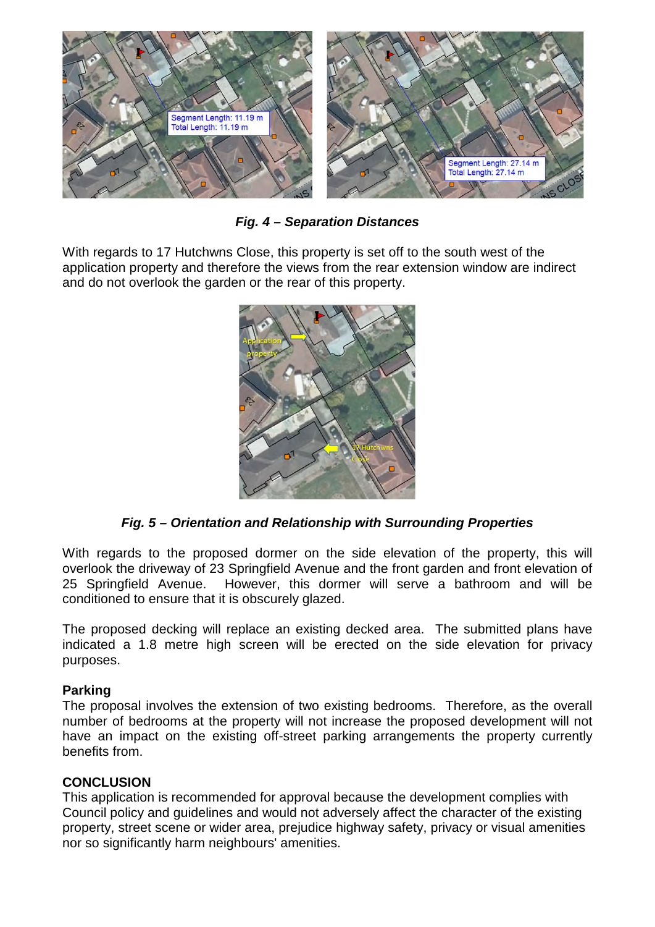

*Fig. 4 – Separation Distances* 

With regards to 17 Hutchwns Close, this property is set off to the south west of the application property and therefore the views from the rear extension window are indirect and do not overlook the garden or the rear of this property.



*Fig. 5 – Orientation and Relationship with Surrounding Properties* 

With regards to the proposed dormer on the side elevation of the property, this will overlook the driveway of 23 Springfield Avenue and the front garden and front elevation of 25 Springfield Avenue. However, this dormer will serve a bathroom and will be conditioned to ensure that it is obscurely glazed.

The proposed decking will replace an existing decked area. The submitted plans have indicated a 1.8 metre high screen will be erected on the side elevation for privacy purposes.

## **Parking**

The proposal involves the extension of two existing bedrooms. Therefore, as the overall number of bedrooms at the property will not increase the proposed development will not have an impact on the existing off-street parking arrangements the property currently benefits from.

## **CONCLUSION**

This application is recommended for approval because the development complies with Council policy and guidelines and would not adversely affect the character of the existing property, street scene or wider area, prejudice highway safety, privacy or visual amenities nor so significantly harm neighbours' amenities.